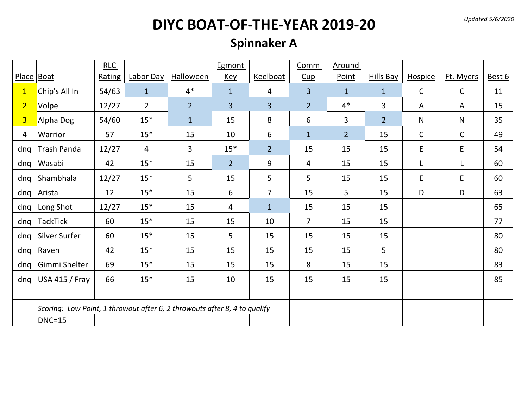*Updated 5/6/2020*

# **DIYC BOAT-OF-THE-YEAR 2019-20**

#### **Spinnaker A**

|                |                                                                           | RLC    |                |                  | Egmont         |                 | Comm           | Around         |                  |                |              |        |
|----------------|---------------------------------------------------------------------------|--------|----------------|------------------|----------------|-----------------|----------------|----------------|------------------|----------------|--------------|--------|
| Place Boat     |                                                                           | Rating | Labor Day      | <b>Halloween</b> | <b>Key</b>     | <b>Keelboat</b> | Cup            | Point          | <b>Hills Bay</b> | <b>Hospice</b> | Ft. Myers    | Best 6 |
| $\mathbf{1}$   | Chip's All In                                                             | 54/63  | $\mathbf{1}$   | $4*$             | $\mathbf{1}$   | 4               | $\overline{3}$ | $\mathbf{1}$   | $\mathbf{1}$     | $\mathsf{C}$   | $\mathsf{C}$ | 11     |
| $\overline{2}$ | Volpe                                                                     | 12/27  | $\overline{2}$ | $\overline{2}$   | $\overline{3}$ | 3               | $\overline{2}$ | $4*$           | 3                | A              | A            | 15     |
| $\overline{3}$ | Alpha Dog                                                                 | 54/60  | $15*$          | $\mathbf{1}$     | 15             | 8               | 6              | 3              | $\overline{2}$   | N              | N            | 35     |
| 4              | Warrior                                                                   | 57     | $15*$          | 15               | 10             | 6               | $\mathbf{1}$   | 2 <sup>2</sup> | 15               | $\mathsf{C}$   | $\mathsf{C}$ | 49     |
| dng            | Trash Panda                                                               | 12/27  | 4              | 3                | $15*$          | $\overline{2}$  | 15             | 15             | 15               | E              | E            | 54     |
| dnq            | Wasabi                                                                    | 42     | $15*$          | 15               | $\overline{2}$ | 9               | 4              | 15             | 15               |                |              | 60     |
| dnq            | Shambhala                                                                 | 12/27  | $15*$          | 5                | 15             | 5               | 5              | 15             | 15               | E              | E            | 60     |
| dnq            | Arista                                                                    | 12     | $15*$          | 15               | 6              | $\overline{7}$  | 15             | 5              | 15               | D              | D            | 63     |
| dnq            | Long Shot                                                                 | 12/27  | $15*$          | 15               | 4              | $\mathbf{1}$    | 15             | 15             | 15               |                |              | 65     |
| dnq            | <b>TackTick</b>                                                           | 60     | $15*$          | 15               | 15             | 10              | $\overline{7}$ | 15             | 15               |                |              | 77     |
| dnq            | Silver Surfer                                                             | 60     | $15*$          | 15               | 5              | 15              | 15             | 15             | 15               |                |              | 80     |
| dnq            | Raven                                                                     | 42     | $15*$          | 15               | 15             | 15              | 15             | 15             | 5                |                |              | 80     |
| dnq            | Gimmi Shelter                                                             | 69     | $15*$          | 15               | 15             | 15              | 8              | 15             | 15               |                |              | 83     |
| dng            | <b>USA 415 / Fray</b>                                                     | 66     | $15*$          | 15               | 10             | 15              | 15             | 15             | 15               |                |              | 85     |
|                |                                                                           |        |                |                  |                |                 |                |                |                  |                |              |        |
|                | Scoring: Low Point, 1 throwout after 6, 2 throwouts after 8, 4 to qualify |        |                |                  |                |                 |                |                |                  |                |              |        |
|                | <b>DNC=15</b>                                                             |        |                |                  |                |                 |                |                |                  |                |              |        |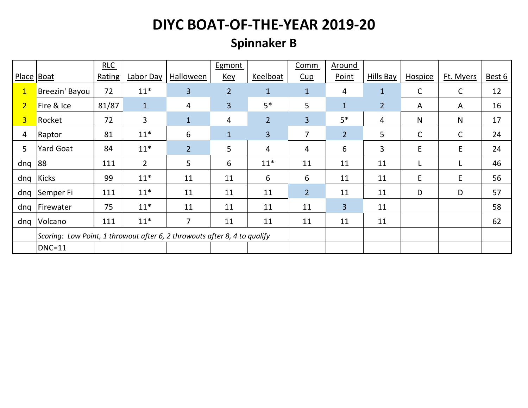## **Spinnaker B**

|                |                                                                           | <b>RLC</b> |              |                | Egmont         |                | Comm           | Around          |                |              |              |        |
|----------------|---------------------------------------------------------------------------|------------|--------------|----------------|----------------|----------------|----------------|-----------------|----------------|--------------|--------------|--------|
| Place Boat     |                                                                           | Rating     | Labor Day    | Halloween      | <b>Key</b>     | Keelboat       | Cup            | Point           | Hills Bay      | Hospice      | Ft. Myers    | Best 6 |
| $\mathbf{1}$   | Breezin' Bayou                                                            | 72         | $11*$        | $\overline{3}$ | $\overline{2}$ | $\mathbf{1}$   | $\mathbf{1}$   | $\overline{4}$  | $\mathbf{1}$   | $\mathsf{C}$ | $\mathsf{C}$ | 12     |
| $\overline{2}$ | Fire & Ice                                                                | 81/87      | $\mathbf{1}$ | 4              | $\overline{3}$ | $5*$           | 5              | $\mathbf{1}$    | $\overline{2}$ | A            | A            | 16     |
| 3 <sup>2</sup> | Rocket                                                                    | 72         | 3            | $\mathbf{1}$   | 4              | $\overline{2}$ | $\overline{3}$ | $5*$            | 4              | N            | $\mathsf{N}$ | 17     |
| 4              | Raptor                                                                    | 81         | $11*$        | 6              | $\mathbf{1}$   | 3              | 7              | $\overline{2}$  | 5              | C            | C            | 24     |
| 5              | <b>Yard Goat</b>                                                          | 84         | $11*$        | $\overline{2}$ | 5              | 4              | 4              | $6\overline{6}$ | 3              | E            | E            | 24     |
| dnq            | 88                                                                        | 111        | $2^{\circ}$  | 5              | 6              | $11*$          | 11             | 11              | 11             | L            | L            | 46     |
| dnq            | Kicks                                                                     | 99         | $11*$        | 11             | 11             | 6              | 6              | 11              | 11             | E            | E            | 56     |
| dnq            | Semper Fi                                                                 | 111        | $11*$        | 11             | 11             | 11             | $\overline{2}$ | 11              | 11             | D            | D            | 57     |
| dnq            | Firewater                                                                 | 75         | $11*$        | 11             | 11             | 11             | 11             | $\overline{3}$  | 11             |              |              | 58     |
| dnq            | Volcano                                                                   | 111        | $11*$        | $\overline{7}$ | 11             | 11             | 11             | 11              | 11             |              |              | 62     |
|                | Scoring: Low Point, 1 throwout after 6, 2 throwouts after 8, 4 to qualify |            |              |                |                |                |                |                 |                |              |              |        |
|                | <b>DNC=11</b>                                                             |            |              |                |                |                |                |                 |                |              |              |        |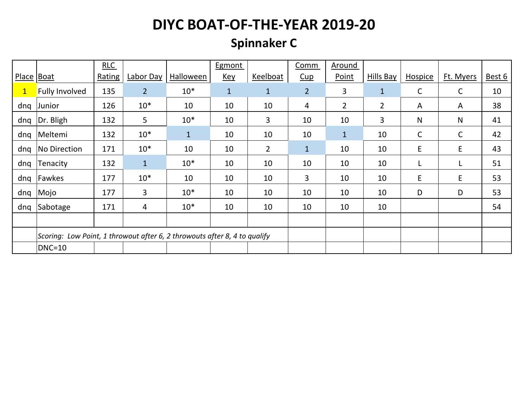## **Spinnaker C**

|              |                                                                           | RLC    |              |              | Egmont       |                | Comm           | Around         |                |         |              |        |
|--------------|---------------------------------------------------------------------------|--------|--------------|--------------|--------------|----------------|----------------|----------------|----------------|---------|--------------|--------|
| Place Boat   |                                                                           | Rating | Labor Day    | Halloween    | <u>Key</u>   | Keelboat       | Cup            | Point          | Hills Bay      | Hospice | Ft. Myers    | Best 6 |
| $\mathbf{1}$ | <b>Fully Involved</b>                                                     | 135    | $2^{\circ}$  | $10*$        | $\mathbf{1}$ | $\mathbf{1}$   | $\overline{2}$ | 3              | $\mathbf{1}$   | С       | $\mathsf{C}$ | 10     |
| dnq          | Junior                                                                    | 126    | $10*$        | 10           | 10           | 10             | 4              | $\overline{2}$ | $\overline{2}$ | A       | A            | 38     |
| dnq          | Dr. Bligh                                                                 | 132    | 5            | $10*$        | 10           | 3              | 10             | 10             | 3              | N       | N            | 41     |
| dnq          | Meltemi                                                                   | 132    | $10*$        | $\mathbf{1}$ | 10           | 10             | 10             | $\mathbf{1}$   | 10             | C       | C            | 42     |
| dnq          | No Direction                                                              | 171    | $10*$        | 10           | 10           | $\overline{2}$ | $\mathbf{1}$   | 10             | 10             | E       | E            | 43     |
| dnq          | Tenacity                                                                  | 132    | $\mathbf{1}$ | $10*$        | 10           | 10             | 10             | 10             | 10             |         | L            | 51     |
| dnq          | Fawkes                                                                    | 177    | $10*$        | 10           | 10           | 10             | 3              | 10             | 10             | E       | E            | 53     |
| dnq          | Mojo                                                                      | 177    | 3            | $10*$        | 10           | 10             | 10             | 10             | 10             | D       | D            | 53     |
| dnq          | Sabotage                                                                  | 171    | 4            | $10*$        | 10           | 10             | 10             | 10             | 10             |         |              | 54     |
|              |                                                                           |        |              |              |              |                |                |                |                |         |              |        |
|              | Scoring: Low Point, 1 throwout after 6, 2 throwouts after 8, 4 to qualify |        |              |              |              |                |                |                |                |         |              |        |
|              | $DNC=10$                                                                  |        |              |              |              |                |                |                |                |         |              |        |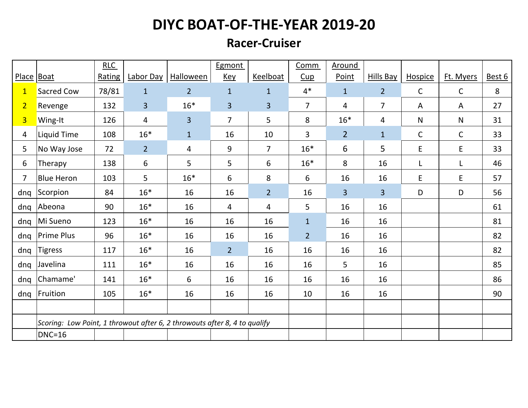#### **Racer-Cruiser**

|                |                                                                           | RLC    |                |                | Egmont         |                | Comm           | Around         |                  |              |              |        |
|----------------|---------------------------------------------------------------------------|--------|----------------|----------------|----------------|----------------|----------------|----------------|------------------|--------------|--------------|--------|
| Place Boat     |                                                                           | Rating | Labor Day      | Halloween      | <b>Key</b>     | Keelboat       | Cup            | Point          | <b>Hills Bay</b> | Hospice      | Ft. Myers    | Best 6 |
| $\mathbf{1}$   | Sacred Cow                                                                | 78/81  | $\mathbf{1}$   | $\overline{2}$ | $\mathbf{1}$   | $\mathbf{1}$   | $4*$           | $\mathbf{1}$   | $\overline{2}$   | $\mathsf C$  | $\mathsf{C}$ | 8      |
| $\overline{2}$ | Revenge                                                                   | 132    | $\overline{3}$ | $16*$          | $\overline{3}$ | 3              | $\overline{7}$ | $\overline{4}$ | $\overline{7}$   | A            | A            | 27     |
| $\overline{3}$ | Wing-It                                                                   | 126    | $\overline{4}$ | $\overline{3}$ | $\overline{7}$ | 5              | 8              | $16*$          | 4                | $\mathsf{N}$ | $\mathsf{N}$ | 31     |
| 4              | <b>Liquid Time</b>                                                        | 108    | $16*$          | $\mathbf 1$    | 16             | 10             | 3              | $\overline{2}$ | $\mathbf{1}$     | $\mathsf C$  | $\mathsf C$  | 33     |
| 5              | No Way Jose                                                               | 72     | $\overline{2}$ | 4              | $9\,$          | $\overline{7}$ | $16*$          | 6              | 5                | E            | E            | 33     |
| 6              | Therapy                                                                   | 138    | 6              | 5              | 5              | 6              | $16*$          | 8              | 16               | L            | L            | 46     |
| 7              | <b>Blue Heron</b>                                                         | 103    | 5              | $16*$          | 6              | 8              | 6              | 16             | 16               | E            | E            | 57     |
| dnq            | Scorpion                                                                  | 84     | $16*$          | 16             | 16             | $\overline{2}$ | 16             | $\overline{3}$ | 3                | D            | D            | 56     |
| dnq            | Abeona                                                                    | 90     | $16*$          | 16             | 4              | 4              | 5              | 16             | 16               |              |              | 61     |
| dnq            | Mi Sueno                                                                  | 123    | $16*$          | 16             | 16             | 16             | $\mathbf{1}$   | 16             | 16               |              |              | 81     |
| dnq            | <b>Prime Plus</b>                                                         | 96     | $16*$          | 16             | 16             | 16             | $\overline{2}$ | 16             | 16               |              |              | 82     |
| dnq            | <b>Tigress</b>                                                            | 117    | $16*$          | 16             | $\overline{2}$ | 16             | 16             | 16             | 16               |              |              | 82     |
| dnq            | Javelina                                                                  | 111    | $16*$          | 16             | 16             | 16             | 16             | 5              | 16               |              |              | 85     |
| dnq            | Chamame'                                                                  | 141    | $16*$          | 6              | 16             | 16             | 16             | 16             | 16               |              |              | 86     |
| dnq            | Fruition                                                                  | 105    | $16*$          | 16             | 16             | 16             | 10             | 16             | 16               |              |              | 90     |
|                |                                                                           |        |                |                |                |                |                |                |                  |              |              |        |
|                | Scoring: Low Point, 1 throwout after 6, 2 throwouts after 8, 4 to qualify |        |                |                |                |                |                |                |                  |              |              |        |
|                | $DNC=16$                                                                  |        |                |                |                |                |                |                |                  |              |              |        |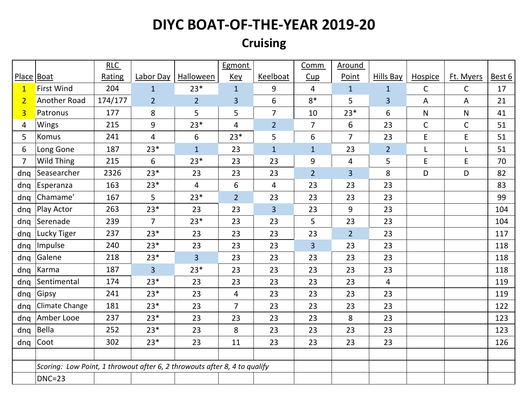## **Cruising**

|                |                                                                           | RLC     |                |                  | Egmont         |                | Comm           | Around         |                |              |              |        |
|----------------|---------------------------------------------------------------------------|---------|----------------|------------------|----------------|----------------|----------------|----------------|----------------|--------------|--------------|--------|
| Place   Boat   |                                                                           | Rating  | Labor Day      | <b>Halloween</b> | <b>Key</b>     | Keelboat       | Cup            | Point          | Hills Bay      | Hospice      | Ft. Myers    | Best 6 |
| $\mathbf{1}$   | <b>First Wind</b>                                                         | 204     | $\mathbf{1}$   | $23*$            | $\mathbf{1}$   | 9              | $\overline{4}$ | $\mathbf{1}$   | $\mathbf{1}$   | $\mathsf{C}$ | $\mathsf{C}$ | 17     |
| $\overline{2}$ | Another Road                                                              | 174/177 | 2 <sup>2</sup> | 2 <sup>1</sup>   | 3              | 6              | $8*$           | 5              | 3              | A            | A            | 21     |
| $\overline{3}$ | Patronus                                                                  | 177     | 8              | 5                | 5              | $\overline{7}$ | 10             | $23*$          | 6              | ${\sf N}$    | ${\sf N}$    | 41     |
| 4              | Wings                                                                     | 215     | 9              | $23*$            | 4              | $\overline{2}$ | $\overline{7}$ | 6              | 23             | $\mathsf C$  | $\mathsf C$  | 51     |
| 5              | Komus                                                                     | 241     | $\overline{4}$ | 6                | $23*$          | 5              | 6              | $\overline{7}$ | 23             | $\mathsf E$  | $\mathsf E$  | 51     |
| 6              | Long Gone                                                                 | 187     | $23*$          | $\mathbf{1}$     | 23             | $\mathbf{1}$   | $\mathbf{1}$   | 23             | $\overline{2}$ | L            | L            | 51     |
| $\overline{7}$ | Wild Thing                                                                | 215     | 6              | $23*$            | 23             | 23             | 9              | 4              | 5              | $\mathsf E$  | $\mathsf E$  | 70     |
| dng            | Seasearcher                                                               | 2326    | $23*$          | 23               | 23             | 23             | $\overline{2}$ | $\overline{3}$ | 8              | D            | D            | 82     |
| dnq            | Esperanza                                                                 | 163     | $23*$          | $\overline{4}$   | 6              | $\overline{4}$ | 23             | 23             | 23             |              |              | 83     |
| dnq            | Chamame'                                                                  | 167     | 5              | $23*$            | $\overline{2}$ | 23             | 23             | 23             | 23             |              |              | 99     |
| dnq            | Play Actor                                                                | 263     | $23*$          | 23               | 23             | $\overline{3}$ | 23             | 9              | 23             |              |              | 104    |
| dnq            | Serenade                                                                  | 239     | $\overline{7}$ | $23*$            | 23             | 23             | 5              | 23             | 23             |              |              | 104    |
| dng            | Lucky Tiger                                                               | 237     | $23*$          | 23               | 23             | 23             | 23             | $\overline{2}$ | 23             |              |              | 117    |
| dnq            | Impulse                                                                   | 240     | $23*$          | 23               | 23             | 23             | $\overline{3}$ | 23             | 23             |              |              | 118    |
| dnq            | Galene                                                                    | 218     | $23*$          | $\overline{3}$   | 23             | 23             | 23             | 23             | 23             |              |              | 118    |
| dnq            | Karma                                                                     | 187     | $\overline{3}$ | $23*$            | 23             | 23             | 23             | 23             | 23             |              |              | 118    |
| dnq            | Sentimental                                                               | 174     | $23*$          | 23               | 23             | 23             | 23             | 23             | 4              |              |              | 119    |
| dnq            | Gipsy                                                                     | 241     | $23*$          | 23               | 4              | 23             | 23             | 23             | 23             |              |              | 119    |
| dnq            | Climate Change                                                            | 181     | $23*$          | 23               | $\overline{7}$ | 23             | 23             | 23             | 23             |              |              | 122    |
| dnq            | Amber Looe                                                                | 237     | $23*$          | 23               | 23             | 23             | 23             | 8              | 23             |              |              | 123    |
| dnq            | Bella                                                                     | 252     | $23*$          | 23               | 8              | 23             | 23             | 23             | 23             |              |              | 123    |
| dnq            | Coot                                                                      | 302     | $23*$          | 23               | 11             | 23             | 23             | 23             | 23             |              |              | 126    |
|                |                                                                           |         |                |                  |                |                |                |                |                |              |              |        |
|                | Scoring: Low Point, 1 throwout after 6, 2 throwouts after 8, 4 to qualify |         |                |                  |                |                |                |                |                |              |              |        |
|                | $DNC=23$                                                                  |         |                |                  |                |                |                |                |                |              |              |        |